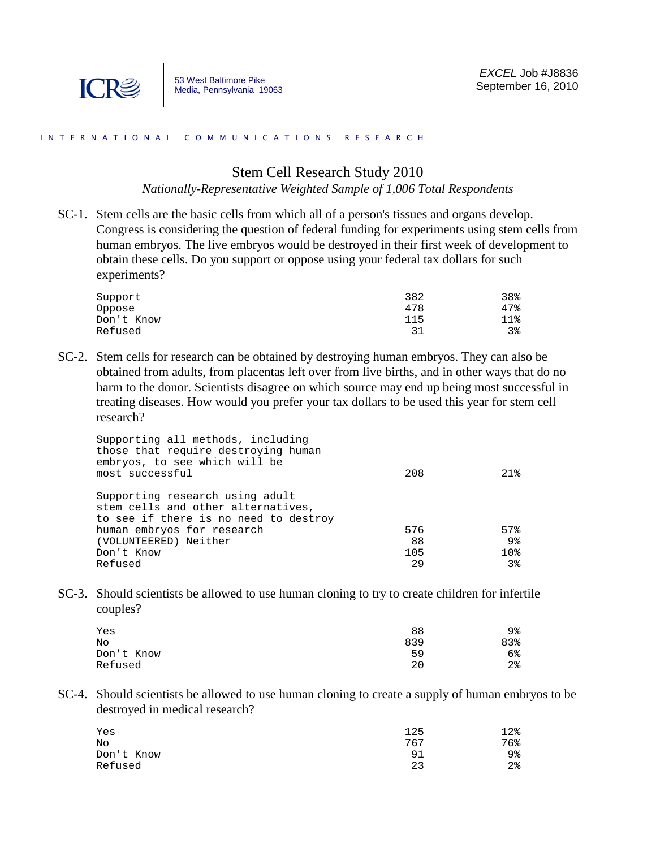

## I N T E R N A T I O N A L C O M M U N I C A T I O N S R E S E A R C H

## Stem Cell Research Study 2010

*Nationally-Representative Weighted Sample of 1,006 Total Respondents*

SC-1. Stem cells are the basic cells from which all of a person's tissues and organs develop. Congress is considering the question of federal funding for experiments using stem cells from human embryos. The live embryos would be destroyed in their first week of development to obtain these cells. Do you support or oppose using your federal tax dollars for such experiments?

| 382 | 38% |
|-----|-----|
| 478 | 47% |
| 115 | 11% |
|     | 38  |
|     |     |

SC-2. Stem cells for research can be obtained by destroying human embryos. They can also be obtained from adults, from placentas left over from live births, and in other ways that do no harm to the donor. Scientists disagree on which source may end up being most successful in treating diseases. How would you prefer your tax dollars to be used this year for stem cell research?

| Supporting all methods, including<br>those that require destroying human<br>embryos, to see which will be<br>most successful | 208 | 21 <sub>8</sub> |
|------------------------------------------------------------------------------------------------------------------------------|-----|-----------------|
| Supporting research using adult<br>stem cells and other alternatives,<br>to see if there is no need to destroy               |     |                 |
| human embryos for research                                                                                                   | 576 | 57%             |
| (VOLUNTEERED) Neither                                                                                                        | 88  | 9%              |
| Don't Know                                                                                                                   | 105 | 10 <sub>8</sub> |
| Refused                                                                                                                      | 29  | 3 <sup>8</sup>  |
|                                                                                                                              |     |                 |

SC-3. Should scientists be allowed to use human cloning to try to create children for infertile couples?

| 88  | 9%  |
|-----|-----|
| 839 | 83% |
| 59  | 6%  |
| 20  | 2%  |
|     |     |

SC-4. Should scientists be allowed to use human cloning to create a supply of human embryos to be destroyed in medical research?

| Yes        | 125 | 12%   |
|------------|-----|-------|
| No         | 767 | 76%   |
| Don't Know | 91  | 9%    |
| Refused    | 23  | $2\,$ |